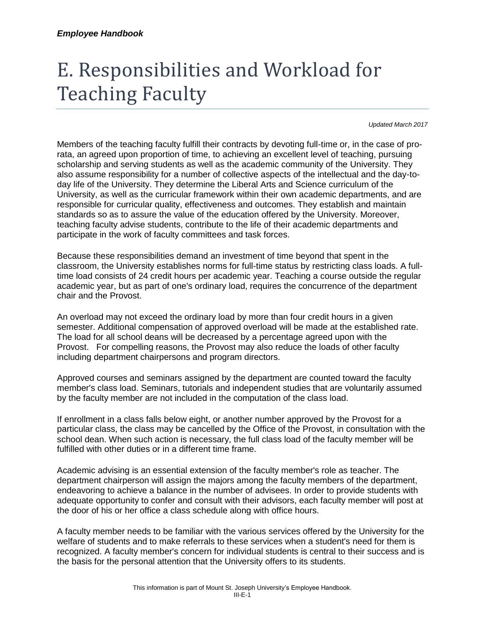# E. Responsibilities and Workload for Teaching Faculty

*Updated March 2017*

Members of the teaching faculty fulfill their contracts by devoting full-time or, in the case of prorata, an agreed upon proportion of time, to achieving an excellent level of teaching, pursuing scholarship and serving students as well as the academic community of the University. They also assume responsibility for a number of collective aspects of the intellectual and the day-today life of the University. They determine the Liberal Arts and Science curriculum of the University, as well as the curricular framework within their own academic departments, and are responsible for curricular quality, effectiveness and outcomes. They establish and maintain standards so as to assure the value of the education offered by the University. Moreover, teaching faculty advise students, contribute to the life of their academic departments and participate in the work of faculty committees and task forces.

Because these responsibilities demand an investment of time beyond that spent in the classroom, the University establishes norms for full-time status by restricting class loads. A fulltime load consists of 24 credit hours per academic year. Teaching a course outside the regular academic year, but as part of one's ordinary load, requires the concurrence of the department chair and the Provost.

An overload may not exceed the ordinary load by more than four credit hours in a given semester. Additional compensation of approved overload will be made at the established rate. The load for all school deans will be decreased by a percentage agreed upon with the Provost. For compelling reasons, the Provost may also reduce the loads of other faculty including department chairpersons and program directors.

Approved courses and seminars assigned by the department are counted toward the faculty member's class load. Seminars, tutorials and independent studies that are voluntarily assumed by the faculty member are not included in the computation of the class load.

If enrollment in a class falls below eight, or another number approved by the Provost for a particular class, the class may be cancelled by the Office of the Provost, in consultation with the school dean. When such action is necessary, the full class load of the faculty member will be fulfilled with other duties or in a different time frame.

Academic advising is an essential extension of the faculty member's role as teacher. The department chairperson will assign the majors among the faculty members of the department, endeavoring to achieve a balance in the number of advisees. In order to provide students with adequate opportunity to confer and consult with their advisors, each faculty member will post at the door of his or her office a class schedule along with office hours.

A faculty member needs to be familiar with the various services offered by the University for the welfare of students and to make referrals to these services when a student's need for them is recognized. A faculty member's concern for individual students is central to their success and is the basis for the personal attention that the University offers to its students.